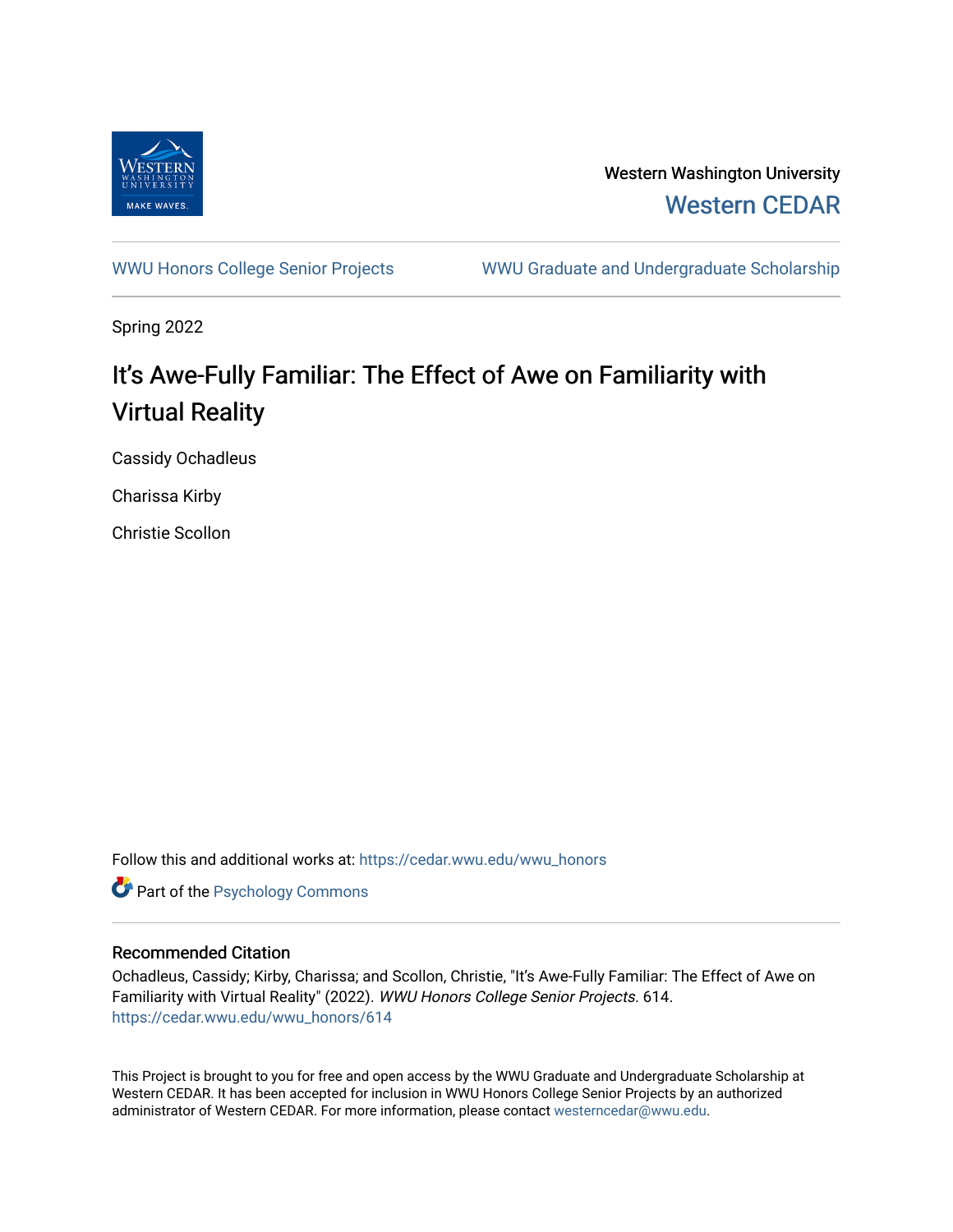

Western Washington University [Western CEDAR](https://cedar.wwu.edu/) 

[WWU Honors College Senior Projects](https://cedar.wwu.edu/wwu_honors) WWU Graduate and Undergraduate Scholarship

Spring 2022

# It's Awe-Fully Familiar: The Effect of Awe on Familiarity with Virtual Reality

Cassidy Ochadleus

Charissa Kirby

Christie Scollon

Follow this and additional works at: [https://cedar.wwu.edu/wwu\\_honors](https://cedar.wwu.edu/wwu_honors?utm_source=cedar.wwu.edu%2Fwwu_honors%2F614&utm_medium=PDF&utm_campaign=PDFCoverPages) 

**Part of the Psychology Commons** 

## Recommended Citation

Ochadleus, Cassidy; Kirby, Charissa; and Scollon, Christie, "It's Awe-Fully Familiar: The Effect of Awe on Familiarity with Virtual Reality" (2022). WWU Honors College Senior Projects. 614. [https://cedar.wwu.edu/wwu\\_honors/614](https://cedar.wwu.edu/wwu_honors/614?utm_source=cedar.wwu.edu%2Fwwu_honors%2F614&utm_medium=PDF&utm_campaign=PDFCoverPages)

This Project is brought to you for free and open access by the WWU Graduate and Undergraduate Scholarship at Western CEDAR. It has been accepted for inclusion in WWU Honors College Senior Projects by an authorized administrator of Western CEDAR. For more information, please contact [westerncedar@wwu.edu](mailto:westerncedar@wwu.edu).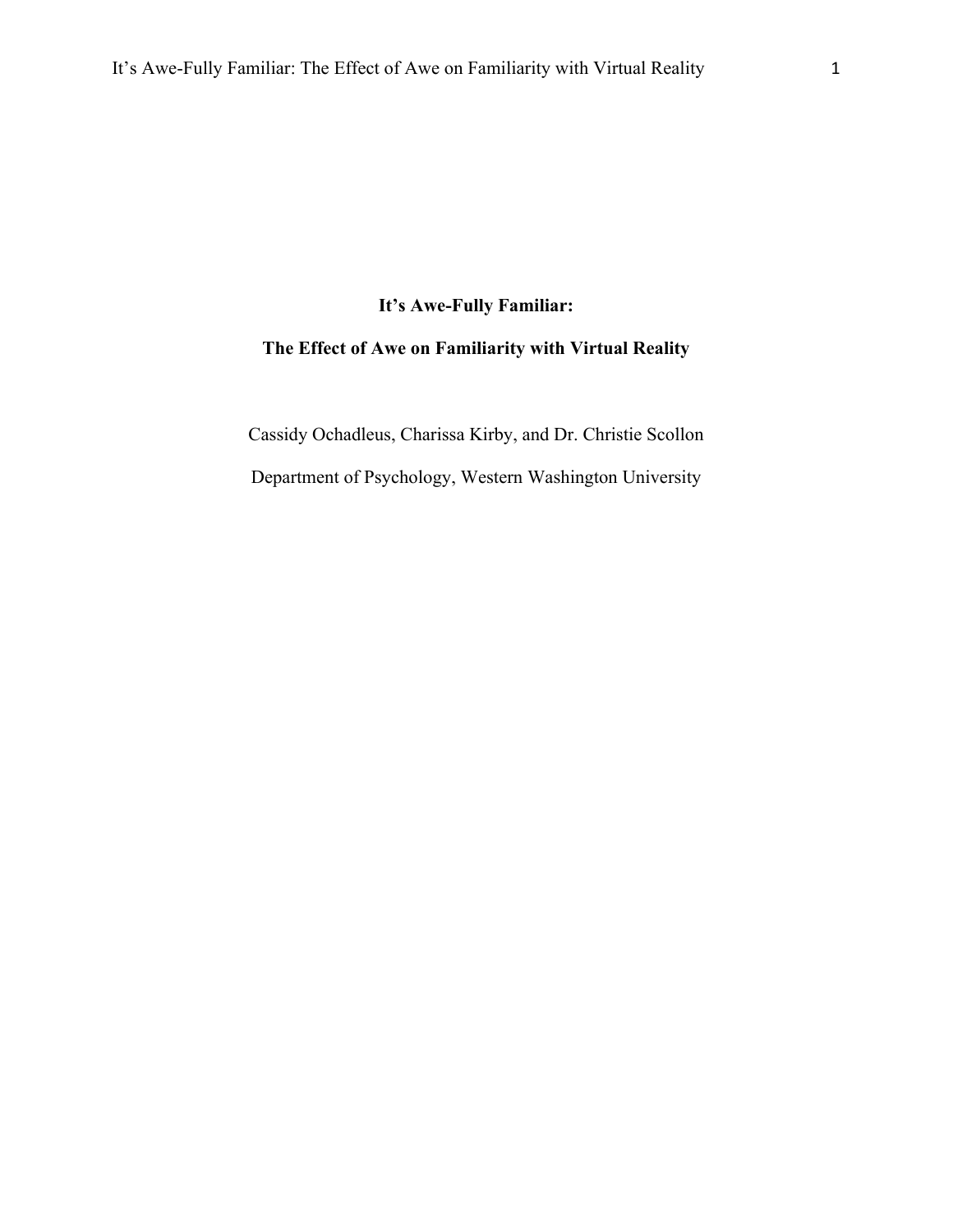# **It's Awe-Fully Familiar:**

# **The Effect of Awe on Familiarity with Virtual Reality**

Cassidy Ochadleus, Charissa Kirby, and Dr. Christie Scollon

Department of Psychology, Western Washington University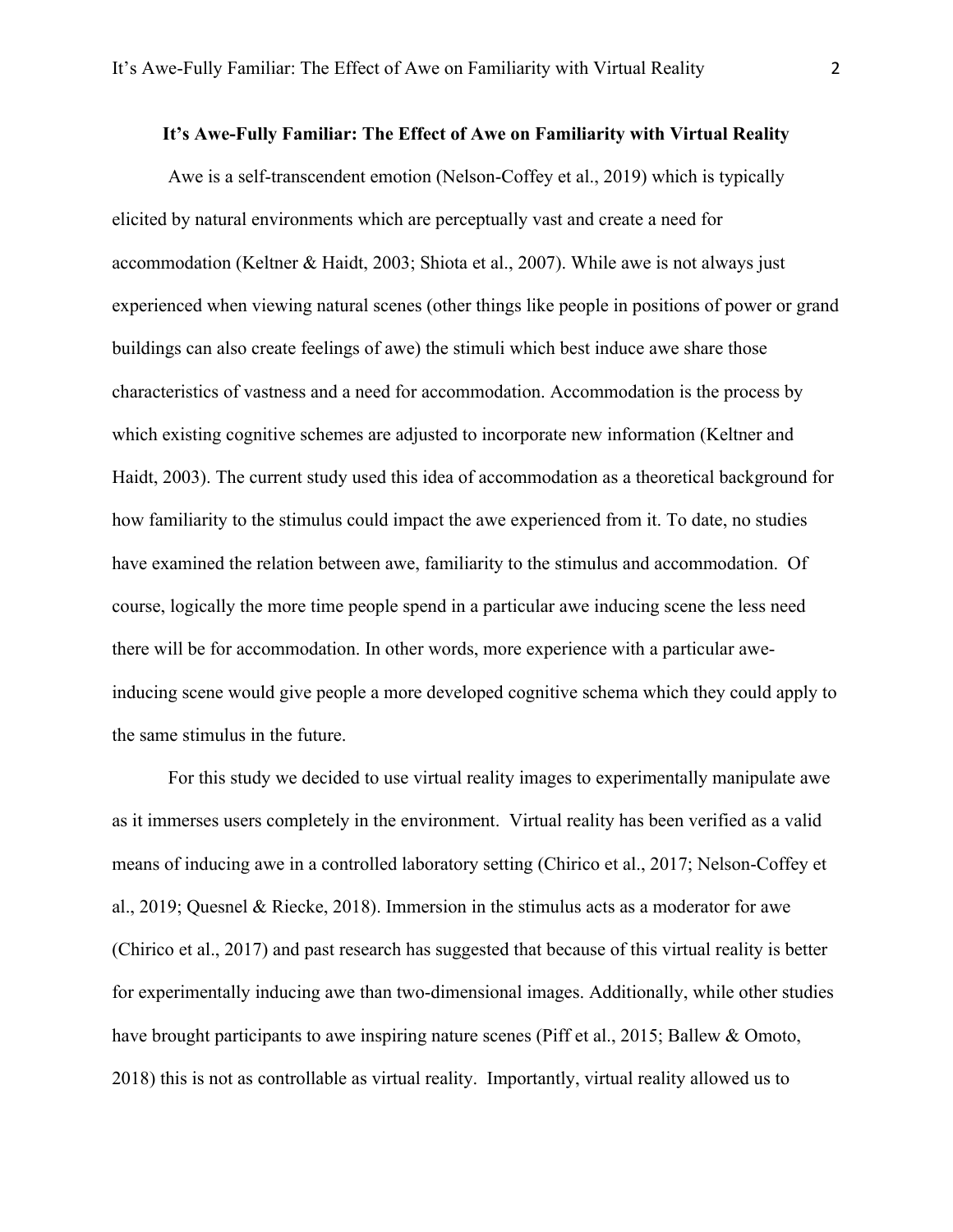#### **It's Awe-Fully Familiar: The Effect of Awe on Familiarity with Virtual Reality**

Awe is a self-transcendent emotion (Nelson-Coffey et al., 2019) which is typically elicited by natural environments which are perceptually vast and create a need for accommodation (Keltner & Haidt, 2003; Shiota et al., 2007). While awe is not always just experienced when viewing natural scenes (other things like people in positions of power or grand buildings can also create feelings of awe) the stimuli which best induce awe share those characteristics of vastness and a need for accommodation. Accommodation is the process by which existing cognitive schemes are adjusted to incorporate new information (Keltner and Haidt, 2003). The current study used this idea of accommodation as a theoretical background for how familiarity to the stimulus could impact the awe experienced from it. To date, no studies have examined the relation between awe, familiarity to the stimulus and accommodation. Of course, logically the more time people spend in a particular awe inducing scene the less need there will be for accommodation. In other words, more experience with a particular aweinducing scene would give people a more developed cognitive schema which they could apply to the same stimulus in the future.

For this study we decided to use virtual reality images to experimentally manipulate awe as it immerses users completely in the environment. Virtual reality has been verified as a valid means of inducing awe in a controlled laboratory setting (Chirico et al., 2017; Nelson-Coffey et al., 2019; Quesnel & Riecke, 2018). Immersion in the stimulus acts as a moderator for awe (Chirico et al., 2017) and past research has suggested that because of this virtual reality is better for experimentally inducing awe than two-dimensional images. Additionally, while other studies have brought participants to awe inspiring nature scenes (Piff et al., 2015; Ballew & Omoto, 2018) this is not as controllable as virtual reality. Importantly, virtual reality allowed us to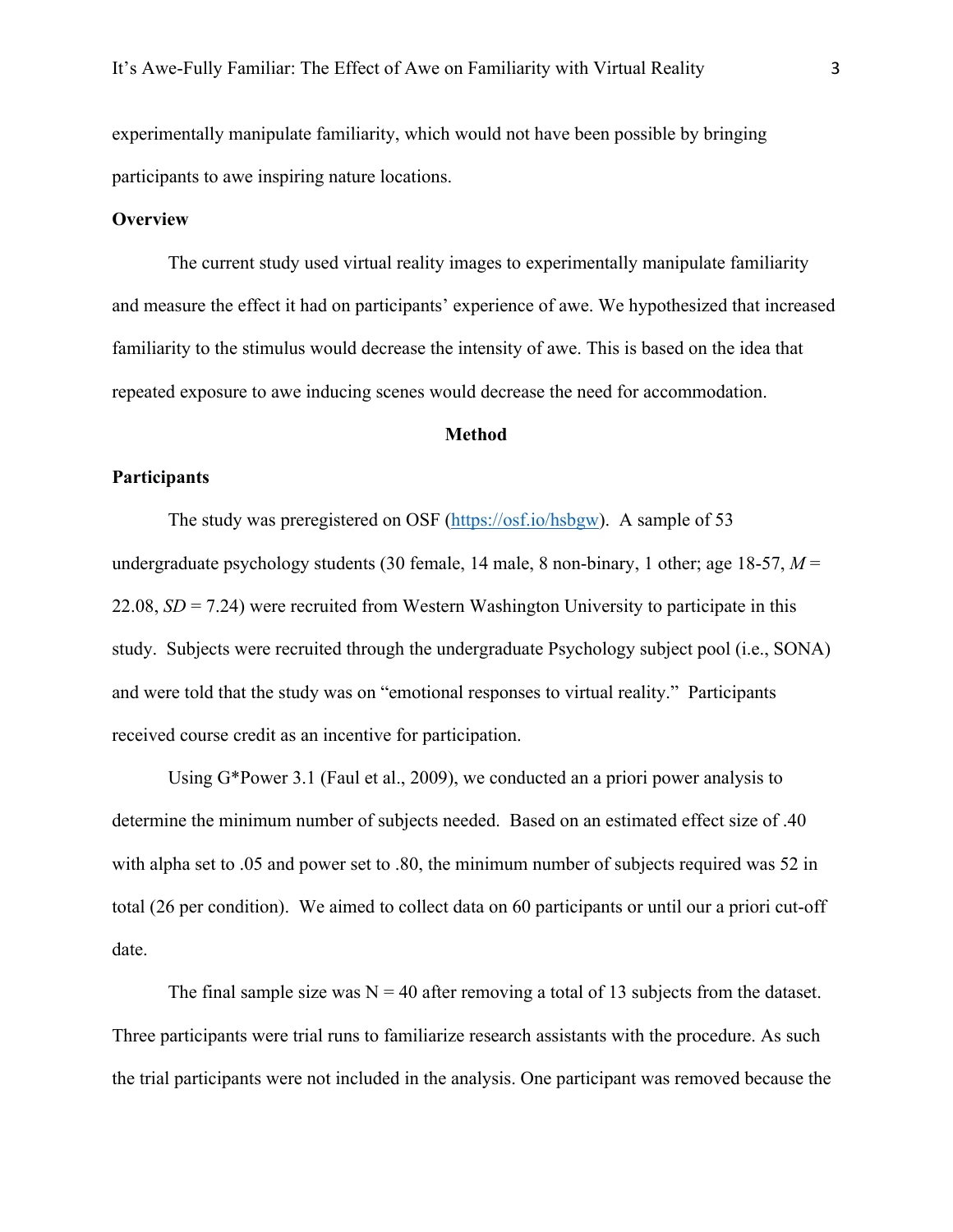experimentally manipulate familiarity, which would not have been possible by bringing participants to awe inspiring nature locations.

#### **Overview**

The current study used virtual reality images to experimentally manipulate familiarity and measure the effect it had on participants' experience of awe. We hypothesized that increased familiarity to the stimulus would decrease the intensity of awe. This is based on the idea that repeated exposure to awe inducing scenes would decrease the need for accommodation.

#### **Method**

#### **Participants**

The study was preregistered on OSF (https://osf.io/hsbgw). A sample of 53 undergraduate psychology students (30 female, 14 male, 8 non-binary, 1 other; age 18-57, *M* = 22.08, *SD* = 7.24) were recruited from Western Washington University to participate in this study. Subjects were recruited through the undergraduate Psychology subject pool (i.e., SONA) and were told that the study was on "emotional responses to virtual reality." Participants received course credit as an incentive for participation.

Using G\*Power 3.1 (Faul et al., 2009), we conducted an a priori power analysis to determine the minimum number of subjects needed. Based on an estimated effect size of .40 with alpha set to .05 and power set to .80, the minimum number of subjects required was 52 in total (26 per condition). We aimed to collect data on 60 participants or until our a priori cut-off date.

The final sample size was  $N = 40$  after removing a total of 13 subjects from the dataset. Three participants were trial runs to familiarize research assistants with the procedure. As such the trial participants were not included in the analysis. One participant was removed because the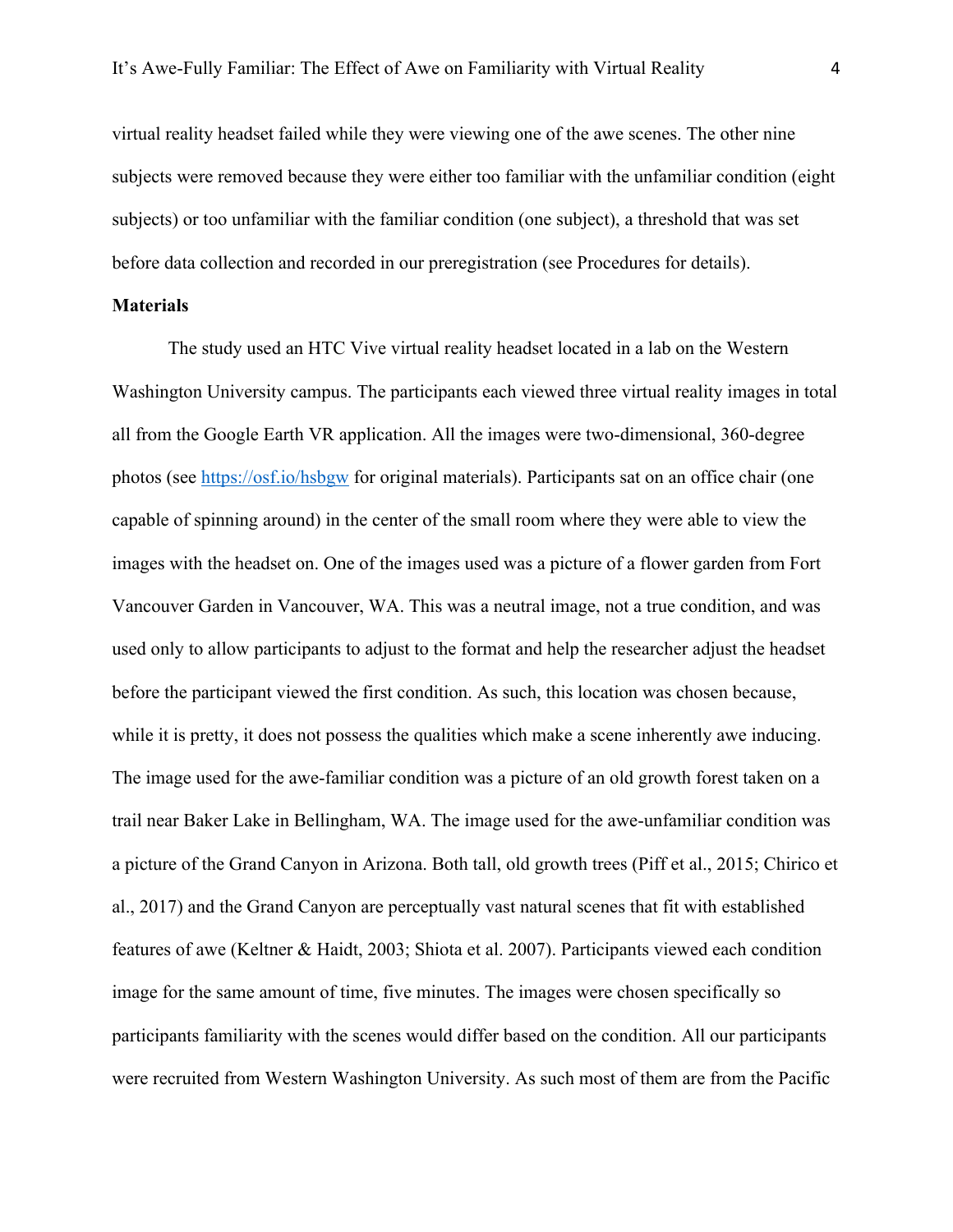virtual reality headset failed while they were viewing one of the awe scenes. The other nine subjects were removed because they were either too familiar with the unfamiliar condition (eight subjects) or too unfamiliar with the familiar condition (one subject), a threshold that was set before data collection and recorded in our preregistration (see Procedures for details).

#### **Materials**

The study used an HTC Vive virtual reality headset located in a lab on the Western Washington University campus. The participants each viewed three virtual reality images in total all from the Google Earth VR application. All the images were two-dimensional, 360-degree photos (see https://osf.io/hsbgw for original materials). Participants sat on an office chair (one capable of spinning around) in the center of the small room where they were able to view the images with the headset on. One of the images used was a picture of a flower garden from Fort Vancouver Garden in Vancouver, WA. This was a neutral image, not a true condition, and was used only to allow participants to adjust to the format and help the researcher adjust the headset before the participant viewed the first condition. As such, this location was chosen because, while it is pretty, it does not possess the qualities which make a scene inherently awe inducing. The image used for the awe-familiar condition was a picture of an old growth forest taken on a trail near Baker Lake in Bellingham, WA. The image used for the awe-unfamiliar condition was a picture of the Grand Canyon in Arizona. Both tall, old growth trees (Piff et al., 2015; Chirico et al., 2017) and the Grand Canyon are perceptually vast natural scenes that fit with established features of awe (Keltner & Haidt, 2003; Shiota et al. 2007). Participants viewed each condition image for the same amount of time, five minutes. The images were chosen specifically so participants familiarity with the scenes would differ based on the condition. All our participants were recruited from Western Washington University. As such most of them are from the Pacific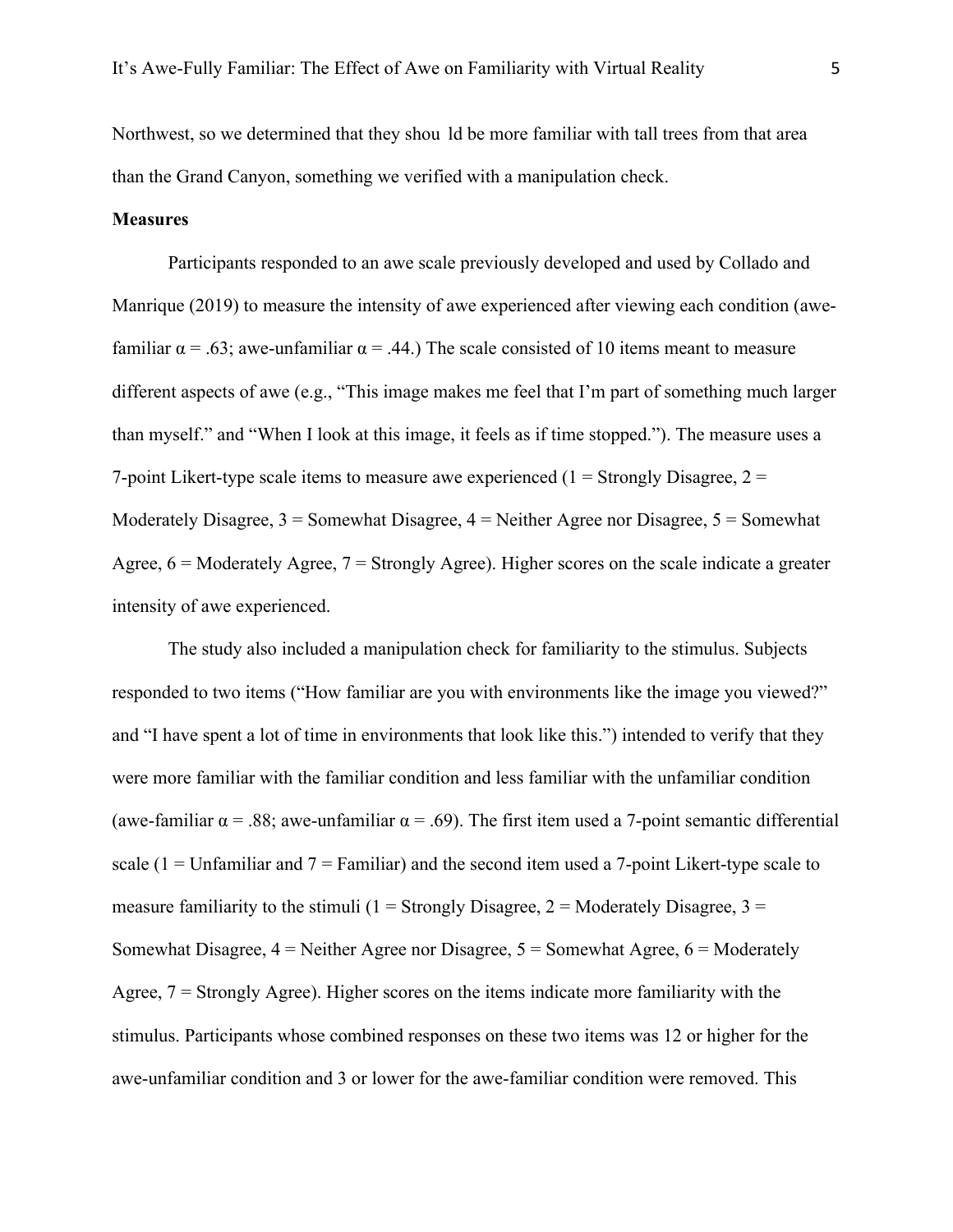Northwest, so we determined that they shou ld be more familiar with tall trees from that area than the Grand Canyon, something we verified with a manipulation check.

#### **Measures**

Participants responded to an awe scale previously developed and used by Collado and Manrique (2019) to measure the intensity of awe experienced after viewing each condition (awefamiliar  $\alpha = .63$ ; awe-unfamiliar  $\alpha = .44$ .) The scale consisted of 10 items meant to measure different aspects of awe (e.g., "This image makes me feel that I'm part of something much larger than myself." and "When I look at this image, it feels as if time stopped."). The measure uses a 7-point Likert-type scale items to measure awe experienced  $(1 =$  Strongly Disagree,  $2 =$ Moderately Disagree,  $3 =$  Somewhat Disagree,  $4 =$  Neither Agree nor Disagree,  $5 =$  Somewhat Agree,  $6 =$  Moderately Agree,  $7 =$  Strongly Agree). Higher scores on the scale indicate a greater intensity of awe experienced.

The study also included a manipulation check for familiarity to the stimulus. Subjects responded to two items ("How familiar are you with environments like the image you viewed?" and "I have spent a lot of time in environments that look like this.") intended to verify that they were more familiar with the familiar condition and less familiar with the unfamiliar condition (awe-familiar  $\alpha$  = .88; awe-unfamiliar  $\alpha$  = .69). The first item used a 7-point semantic differential scale  $(1 = Unfamiliar)$  and  $7 = Familiar)$  and the second item used a 7-point Likert-type scale to measure familiarity to the stimuli ( $1 =$  Strongly Disagree,  $2 =$  Moderately Disagree,  $3 =$ Somewhat Disagree,  $4 =$  Neither Agree nor Disagree,  $5 =$  Somewhat Agree,  $6 =$  Moderately Agree, 7 = Strongly Agree). Higher scores on the items indicate more familiarity with the stimulus. Participants whose combined responses on these two items was 12 or higher for the awe-unfamiliar condition and 3 or lower for the awe-familiar condition were removed. This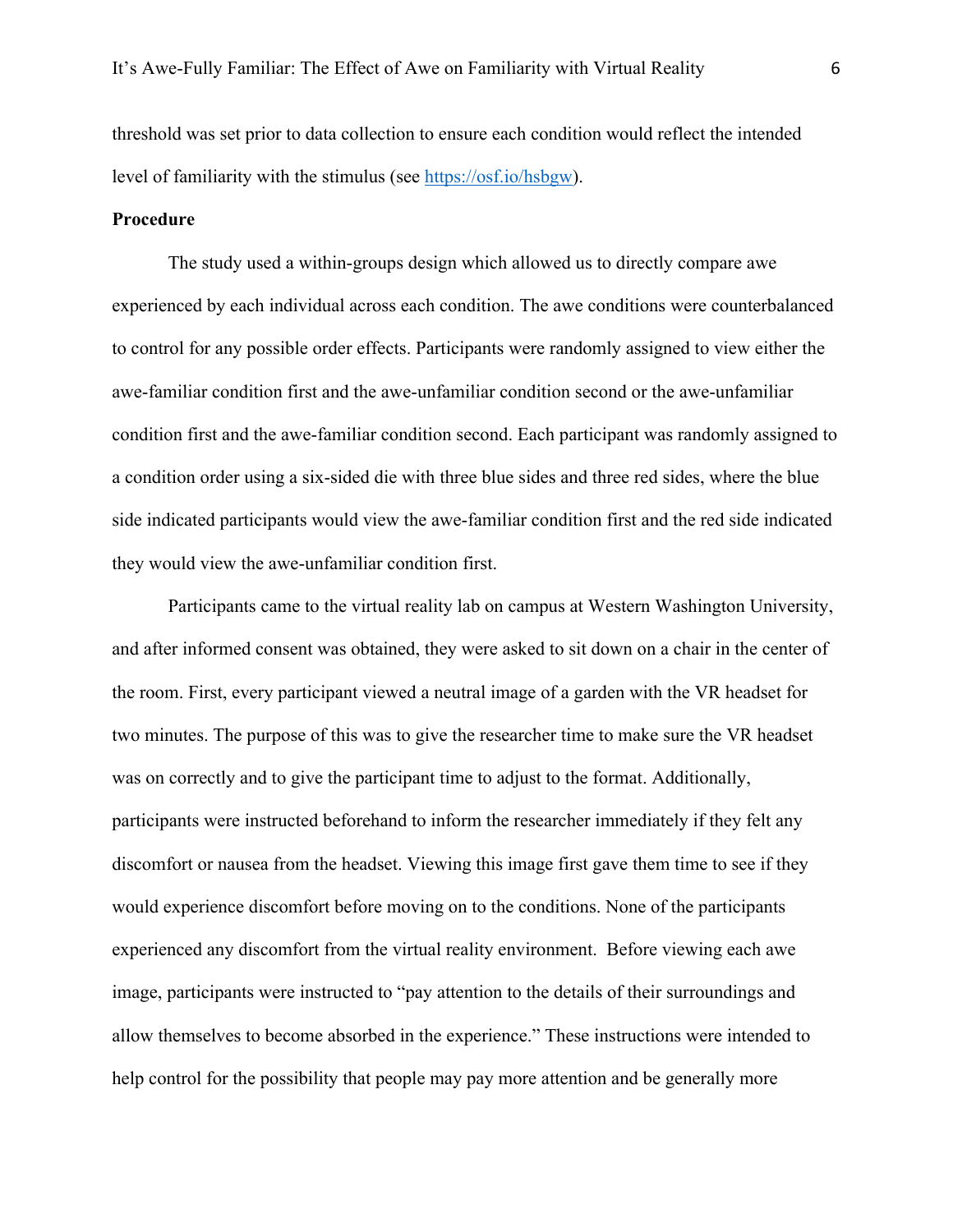threshold was set prior to data collection to ensure each condition would reflect the intended level of familiarity with the stimulus (see https://osf.io/hsbgw).

### **Procedure**

The study used a within-groups design which allowed us to directly compare awe experienced by each individual across each condition. The awe conditions were counterbalanced to control for any possible order effects. Participants were randomly assigned to view either the awe-familiar condition first and the awe-unfamiliar condition second or the awe-unfamiliar condition first and the awe-familiar condition second. Each participant was randomly assigned to a condition order using a six-sided die with three blue sides and three red sides, where the blue side indicated participants would view the awe-familiar condition first and the red side indicated they would view the awe-unfamiliar condition first.

Participants came to the virtual reality lab on campus at Western Washington University, and after informed consent was obtained, they were asked to sit down on a chair in the center of the room. First, every participant viewed a neutral image of a garden with the VR headset for two minutes. The purpose of this was to give the researcher time to make sure the VR headset was on correctly and to give the participant time to adjust to the format. Additionally, participants were instructed beforehand to inform the researcher immediately if they felt any discomfort or nausea from the headset. Viewing this image first gave them time to see if they would experience discomfort before moving on to the conditions. None of the participants experienced any discomfort from the virtual reality environment. Before viewing each awe image, participants were instructed to "pay attention to the details of their surroundings and allow themselves to become absorbed in the experience." These instructions were intended to help control for the possibility that people may pay more attention and be generally more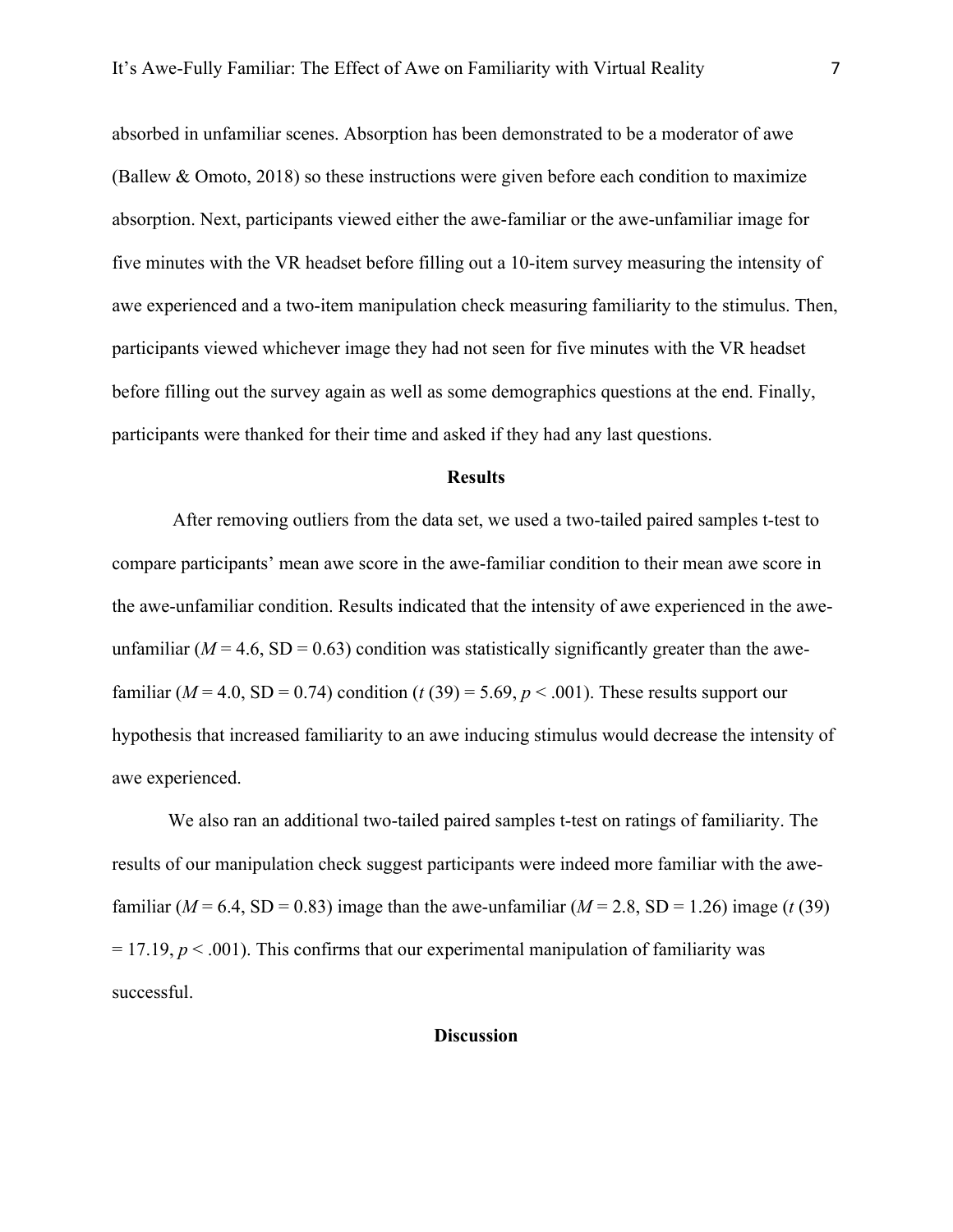absorbed in unfamiliar scenes. Absorption has been demonstrated to be a moderator of awe (Ballew & Omoto, 2018) so these instructions were given before each condition to maximize absorption. Next, participants viewed either the awe-familiar or the awe-unfamiliar image for five minutes with the VR headset before filling out a 10-item survey measuring the intensity of awe experienced and a two-item manipulation check measuring familiarity to the stimulus. Then, participants viewed whichever image they had not seen for five minutes with the VR headset before filling out the survey again as well as some demographics questions at the end. Finally, participants were thanked for their time and asked if they had any last questions.

#### **Results**

After removing outliers from the data set, we used a two-tailed paired samples t-test to compare participants' mean awe score in the awe-familiar condition to their mean awe score in the awe-unfamiliar condition. Results indicated that the intensity of awe experienced in the aweunfamiliar  $(M = 4.6, SD = 0.63)$  condition was statistically significantly greater than the awefamiliar ( $M = 4.0$ , SD = 0.74) condition (*t* (39) = 5.69,  $p < .001$ ). These results support our hypothesis that increased familiarity to an awe inducing stimulus would decrease the intensity of awe experienced.

We also ran an additional two-tailed paired samples t-test on ratings of familiarity. The results of our manipulation check suggest participants were indeed more familiar with the awefamiliar ( $M = 6.4$ , SD = 0.83) image than the awe-unfamiliar ( $M = 2.8$ , SD = 1.26) image (*t* (39)  $= 17.19, p < .001$ ). This confirms that our experimental manipulation of familiarity was successful.

#### **Discussion**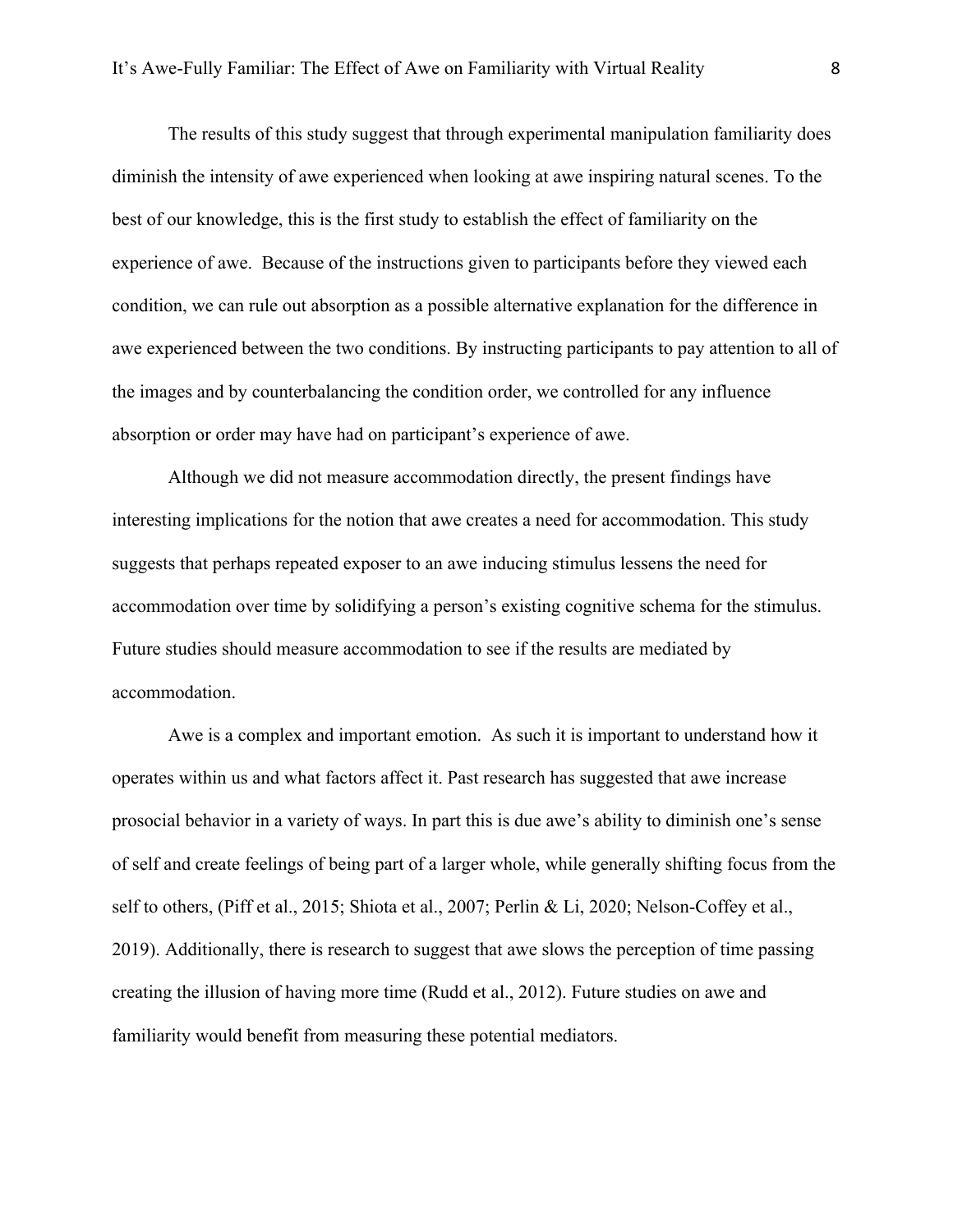The results of this study suggest that through experimental manipulation familiarity does diminish the intensity of awe experienced when looking at awe inspiring natural scenes. To the best of our knowledge, this is the first study to establish the effect of familiarity on the experience of awe. Because of the instructions given to participants before they viewed each condition, we can rule out absorption as a possible alternative explanation for the difference in awe experienced between the two conditions. By instructing participants to pay attention to all of the images and by counterbalancing the condition order, we controlled for any influence absorption or order may have had on participant's experience of awe.

Although we did not measure accommodation directly, the present findings have interesting implications for the notion that awe creates a need for accommodation. This study suggests that perhaps repeated exposer to an awe inducing stimulus lessens the need for accommodation over time by solidifying a person's existing cognitive schema for the stimulus. Future studies should measure accommodation to see if the results are mediated by accommodation.

Awe is a complex and important emotion. As such it is important to understand how it operates within us and what factors affect it. Past research has suggested that awe increase prosocial behavior in a variety of ways. In part this is due awe's ability to diminish one's sense of self and create feelings of being part of a larger whole, while generally shifting focus from the self to others, (Piff et al., 2015; Shiota et al., 2007; Perlin & Li, 2020; Nelson-Coffey et al., 2019). Additionally, there is research to suggest that awe slows the perception of time passing creating the illusion of having more time (Rudd et al., 2012). Future studies on awe and familiarity would benefit from measuring these potential mediators.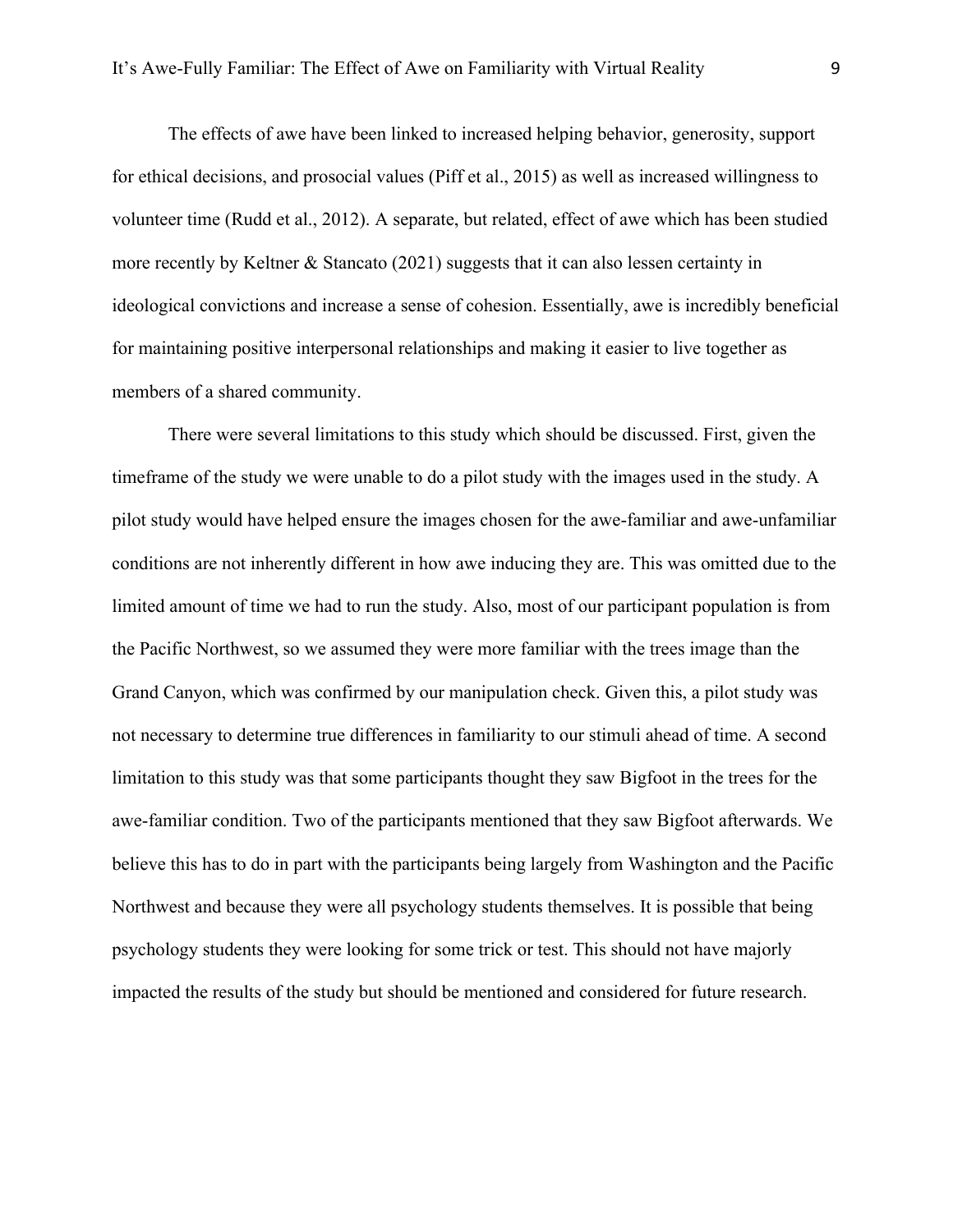The effects of awe have been linked to increased helping behavior, generosity, support for ethical decisions, and prosocial values (Piff et al., 2015) as well as increased willingness to volunteer time (Rudd et al., 2012). A separate, but related, effect of awe which has been studied more recently by Keltner & Stancato (2021) suggests that it can also lessen certainty in ideological convictions and increase a sense of cohesion. Essentially, awe is incredibly beneficial for maintaining positive interpersonal relationships and making it easier to live together as members of a shared community.

There were several limitations to this study which should be discussed. First, given the timeframe of the study we were unable to do a pilot study with the images used in the study. A pilot study would have helped ensure the images chosen for the awe-familiar and awe-unfamiliar conditions are not inherently different in how awe inducing they are. This was omitted due to the limited amount of time we had to run the study. Also, most of our participant population is from the Pacific Northwest, so we assumed they were more familiar with the trees image than the Grand Canyon, which was confirmed by our manipulation check. Given this, a pilot study was not necessary to determine true differences in familiarity to our stimuli ahead of time. A second limitation to this study was that some participants thought they saw Bigfoot in the trees for the awe-familiar condition. Two of the participants mentioned that they saw Bigfoot afterwards. We believe this has to do in part with the participants being largely from Washington and the Pacific Northwest and because they were all psychology students themselves. It is possible that being psychology students they were looking for some trick or test. This should not have majorly impacted the results of the study but should be mentioned and considered for future research.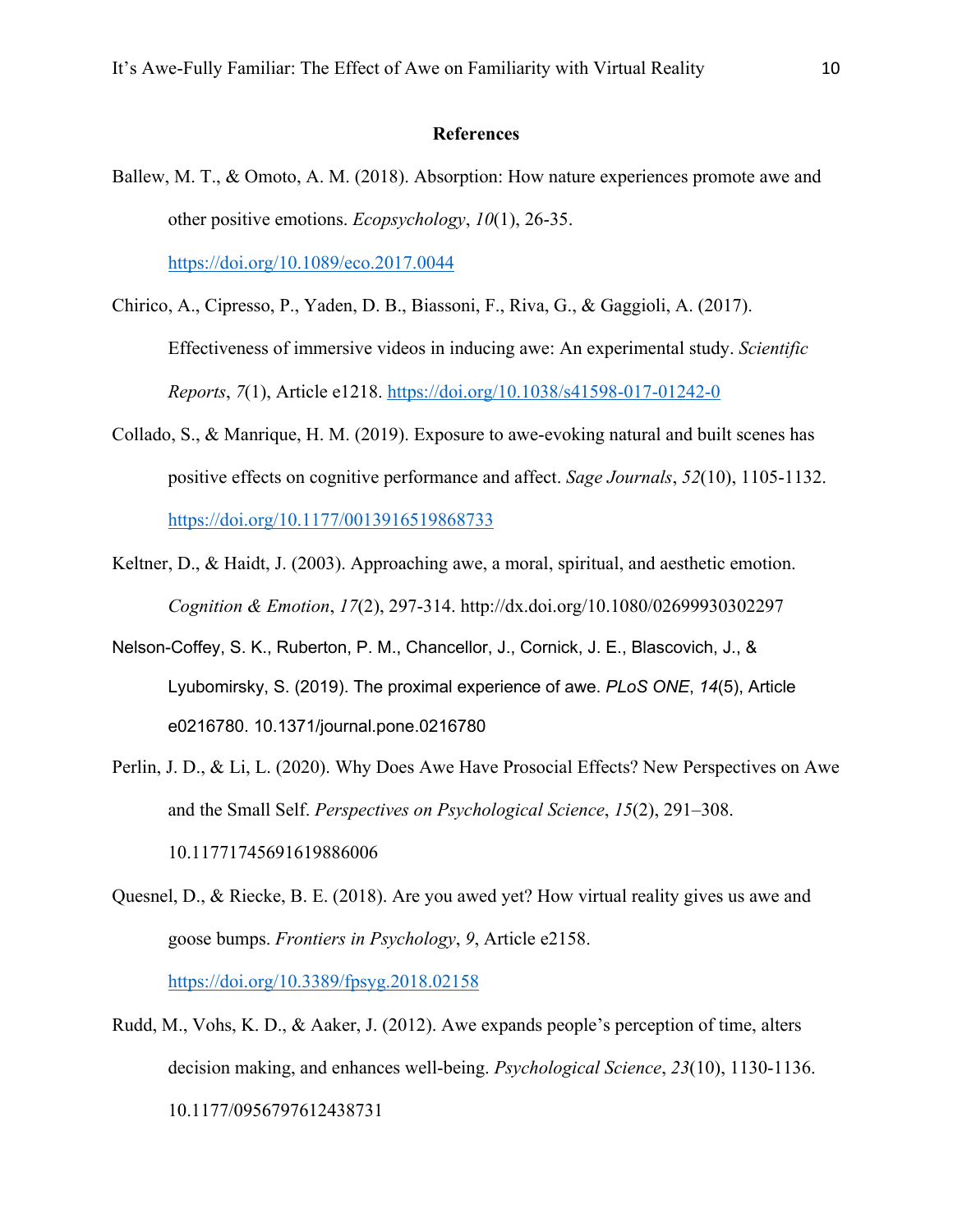#### **References**

- Ballew, M. T., & Omoto, A. M. (2018). Absorption: How nature experiences promote awe and other positive emotions. *Ecopsychology*, *10*(1), 26-35. https://doi.org/10.1089/eco.2017.0044
- Chirico, A., Cipresso, P., Yaden, D. B., Biassoni, F., Riva, G., & Gaggioli, A. (2017). Effectiveness of immersive videos in inducing awe: An experimental study. *Scientific Reports*, *7*(1), Article e1218. https://doi.org/10.1038/s41598-017-01242-0
- Collado, S., & Manrique, H. M. (2019). Exposure to awe-evoking natural and built scenes has positive effects on cognitive performance and affect. *Sage Journals*, *52*(10), 1105-1132. https://doi.org/10.1177/0013916519868733
- Keltner, D., & Haidt, J. (2003). Approaching awe, a moral, spiritual, and aesthetic emotion. *Cognition & Emotion*, *17*(2), 297-314. http://dx.doi.org/10.1080/02699930302297
- Nelson-Coffey, S. K., Ruberton, P. M., Chancellor, J., Cornick, J. E., Blascovich, J., & Lyubomirsky, S. (2019). The proximal experience of awe. *PLoS ONE*, *14*(5), Article e0216780. 10.1371/journal.pone.0216780
- Perlin, J. D., & Li, L. (2020). Why Does Awe Have Prosocial Effects? New Perspectives on Awe and the Small Self. *Perspectives on Psychological Science*, *15*(2), 291–308. 10.11771745691619886006
- Quesnel, D., & Riecke, B. E. (2018). Are you awed yet? How virtual reality gives us awe and goose bumps. *Frontiers in Psychology*, *9*, Article e2158. https://doi.org/10.3389/fpsyg.2018.02158
- Rudd, M., Vohs, K. D., & Aaker, J. (2012). Awe expands people's perception of time, alters decision making, and enhances well-being. *Psychological Science*, *23*(10), 1130-1136. 10.1177/0956797612438731